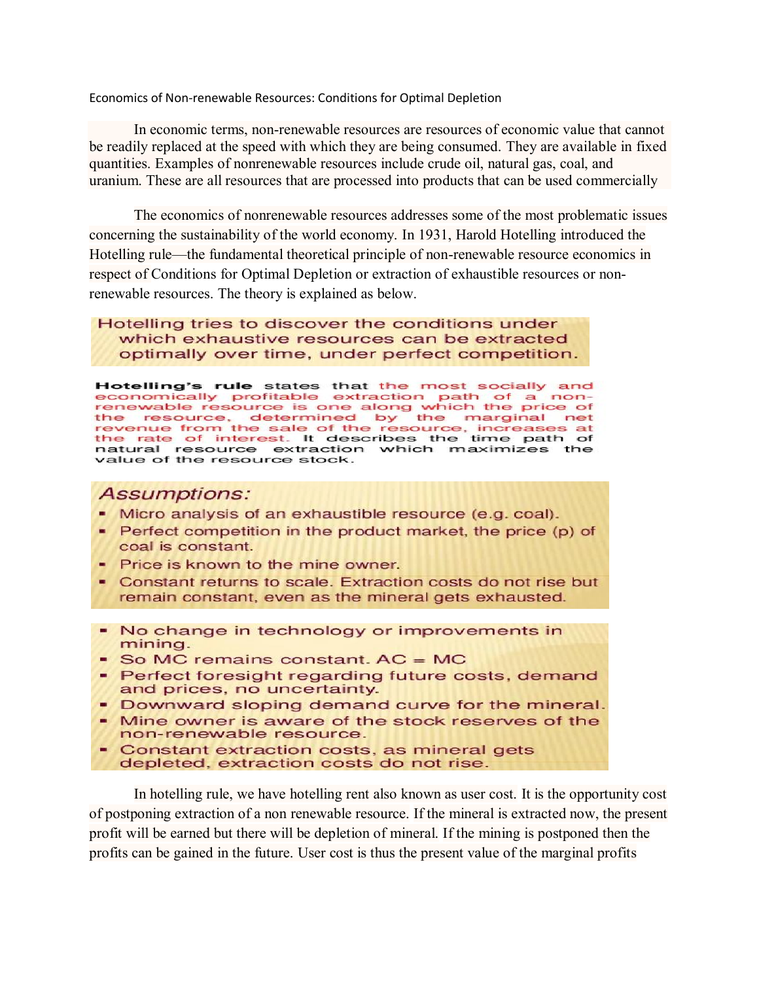Economics of Non-renewable Resources: Conditions for Optimal Depletion

In economic terms, non-renewable resources are resources of economic value that cannot be readily replaced at the speed with which they are being consumed. They are available in fixed quantities. Examples of nonrenewable resources include crude oil, natural gas, coal, and uranium. These are all resources that are processed into products that can be used commercially

The economics of nonrenewable resources addresses some of the most problematic issues concerning the sustainability of the world economy. In 1931, Harold Hotelling introduced the Hotelling rule—the fundamental theoretical principle of non-renewable resource economics in respect of Conditions for Optimal Depletion or extraction of exhaustible resources or nonrenewable resources. The theory is explained as below.

Hotelling tries to discover the conditions under which exhaustive resources can be extracted optimally over time, under perfect competition.

Hotelling's rule states that the most socially and economically profitable extraction path of a nonrenewable resource is one along which the price of<br>the resource, determined by the marginal net revenue from the sale of the resource, increases at<br>the rate of interest. It describes the time path of natural resource extraction which maximizes the value of the resource stock.

#### **Assumptions:**

- Micro analysis of an exhaustible resource (e.g. coal).
- Perfect competition in the product market, the price (p) of coal is constant.
- Price is known to the mine owner.
- Constant returns to scale. Extraction costs do not rise but remain constant, even as the mineral gets exhausted.
- No change in technology or improvements in mining.
- So MC remains constant. AC = MC
- Perfect foresight regarding future costs, demand and prices, no uncertainty.
- Downward sloping demand curve for the mineral.
- Mine owner is aware of the stock reserves of the non-renewable resource.
- Constant extraction costs, as mineral gets depleted, extraction costs do not rise.

In hotelling rule, we have hotelling rent also known as user cost. It is the opportunity cost of postponing extraction of a non renewable resource. If the mineral is extracted now, the present profit will be earned but there will be depletion of mineral. If the mining is postponed then the profits can be gained in the future. User cost is thus the present value of the marginal profits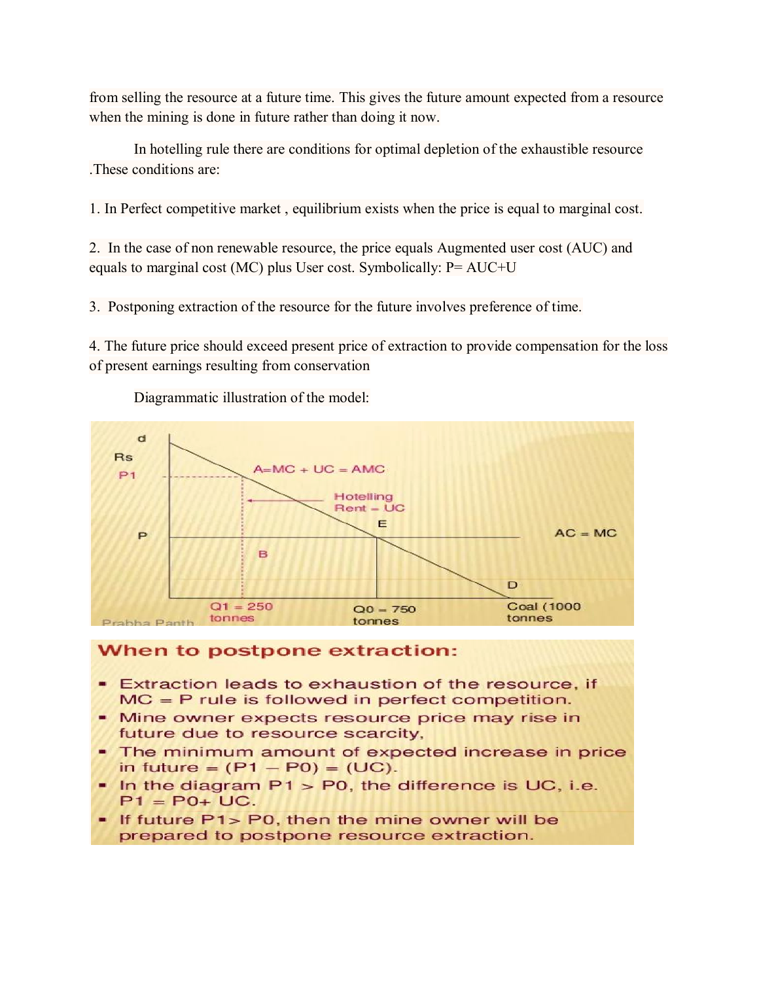from selling the resource at a future time. This gives the future amount expected from a resource when the mining is done in future rather than doing it now.

In hotelling rule there are conditions for optimal depletion of the exhaustible resource .These conditions are:

1. In Perfect competitive market , equilibrium exists when the price is equal to marginal cost.

2. In the case of non renewable resource, the price equals Augmented user cost (AUC) and equals to marginal cost (MC) plus User cost. Symbolically: P= AUC+U

3. Postponing extraction of the resource for the future involves preference of time.

4. The future price should exceed present price of extraction to provide compensation for the loss of present earnings resulting from conservation



Diagrammatic illustration of the model:

#### When to postpone extraction:

- **Extraction leads to exhaustion of the resource, if**  $MC = P$  rule is followed in perfect competition.
- Mine owner expects resource price may rise in future due to resource scarcity,
- The minimum amount of expected increase in price in future =  $(P1 - P0) = (UC)$ .
- $\blacksquare$  In the diagram P1 > P0, the difference is UC, i.e.  $P1 = P0 + UC.$
- . If future P1> P0, then the mine owner will be prepared to postpone resource extraction.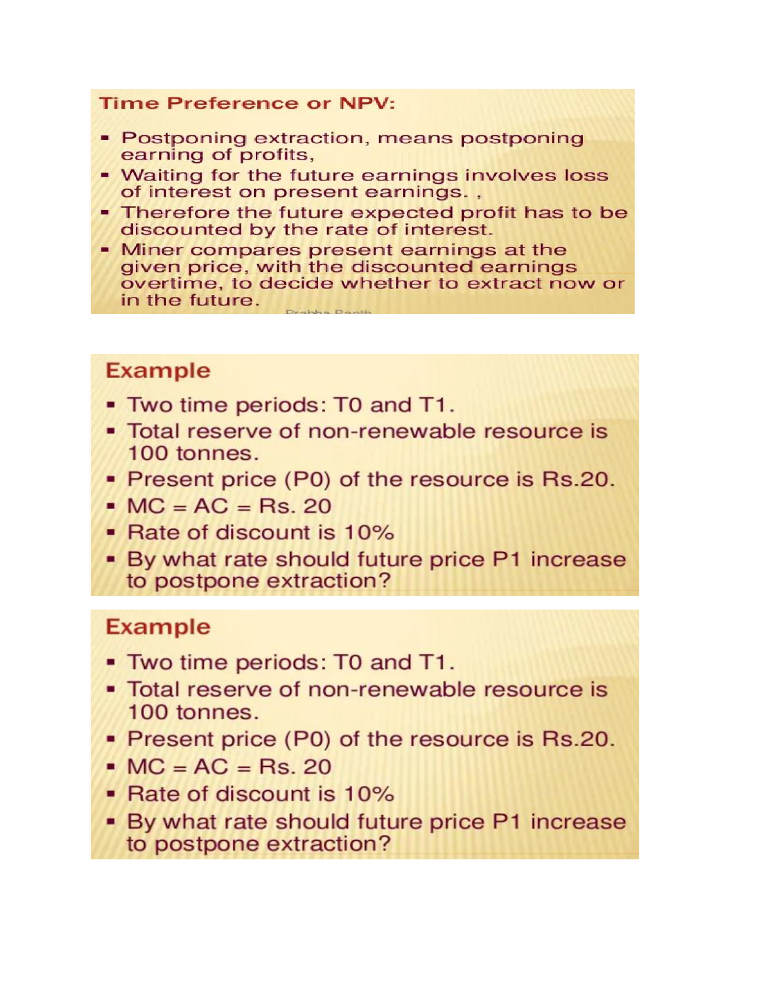### **Time Preference or NPV:**

- Postponing extraction, means postponing earning of profits,
- Waiting for the future earnings involves loss of interest on present earnings.,
- Therefore the future expected profit has to be discounted by the rate of interest.
- Miner compares present earnings at the given price, with the discounted earnings overtime, to decide whether to extract now or in the future.

## **Example**

- Two time periods: T0 and T1.
- Total reserve of non-renewable resource is 100 tonnes.
- Present price (P0) of the resource is Rs.20.
- $MC = AC = Rs. 20$
- Rate of discount is 10%
- By what rate should future price P1 increase to postpone extraction?

# **Example**

- . Two time periods: T0 and T1.
- Total reserve of non-renewable resource is 100 tonnes.
- Present price (P0) of the resource is Rs.20.
- $MC = AC = Rs. 20$
- Rate of discount is 10%
- By what rate should future price P1 increase to postpone extraction?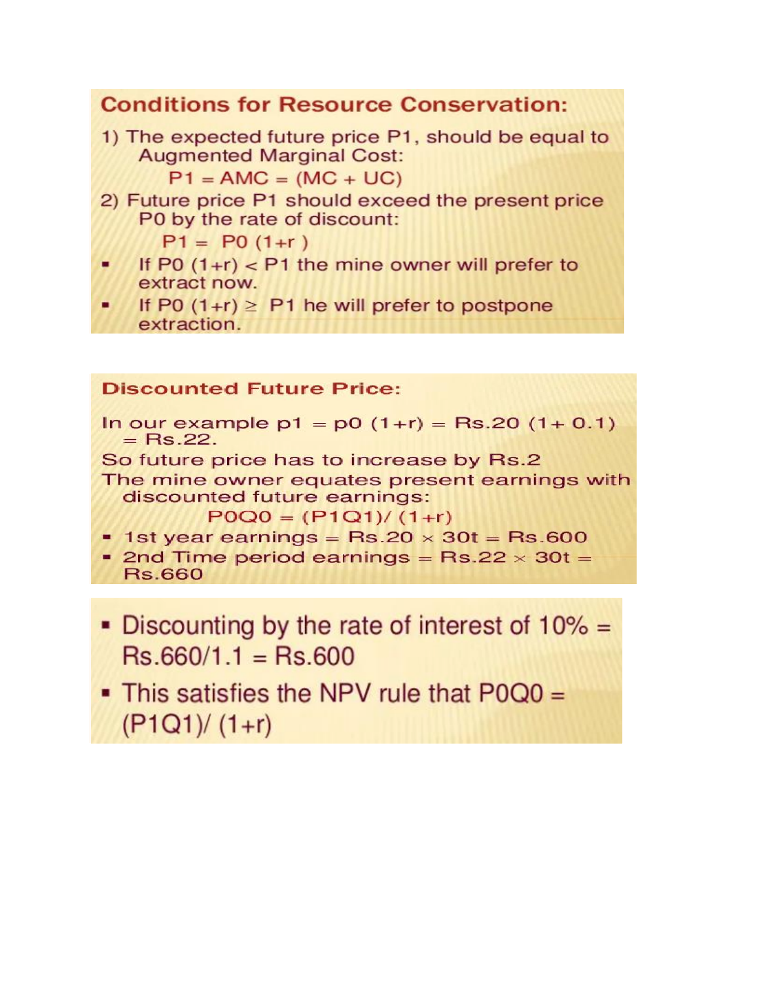### **Conditions for Resource Conservation:**

1) The expected future price P1, should be equal to **Augmented Marginal Cost:** 

 $P1 = AMC = (MC + UC)$ 

2) Future price P1 should exceed the present price P0 by the rate of discount:

 $P1 = P0(1+r)$ 

- If P0  $(1+r)$  < P1 the mine owner will prefer to extract now.
- If P0  $(1+r) \geq P1$  he will prefer to postpone extraction.

### **Discounted Future Price:**

In our example  $p1 = p0(1+r) = Rs.20(1+0.1)$  $=$  Rs.22.

So future price has to increase by Rs.2

The mine owner equates present earnings with discounted future earnings:

 $POQ0 = (P1Q1)/(1+r)$ 

- $\text{-}$  1st year earnings = Rs.20  $\times$  30t = Rs.600
- 2nd Time period earnings =  $Rs.22 \times 30t =$ **Rs.660**
- Discounting by the rate of interest of  $10\%$  =  $Rs.660/1.1 = Rs.600$
- This satisfies the NPV rule that P0Q0 =  $(P1Q1)/(1+r)$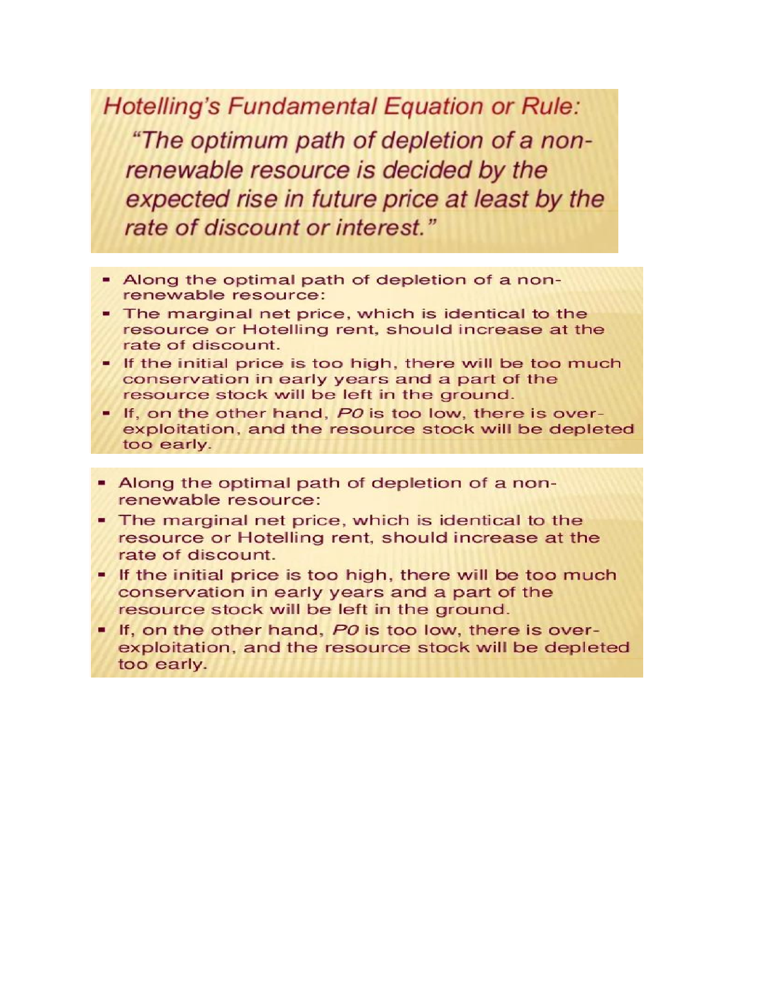**Hotelling's Fundamental Equation or Rule:** "The optimum path of depletion of a nonrenewable resource is decided by the expected rise in future price at least by the rate of discount or interest."

- Along the optimal path of depletion of a nonrenewable resource:
- The marginal net price, which is identical to the resource or Hotelling rent, should increase at the rate of discount.
- . If the initial price is too high, there will be too much conservation in early years and a part of the resource stock will be left in the ground.
- . If, on the other hand, PO is too low, there is overexploitation, and the resource stock will be depleted too early.
- Along the optimal path of depletion of a nonrenewable resource:
- . The marginal net price, which is identical to the resource or Hotelling rent, should increase at the rate of discount.
- . If the initial price is too high, there will be too much conservation in early years and a part of the resource stock will be left in the ground.
- . If, on the other hand, PO is too low, there is overexploitation, and the resource stock will be depleted too early.